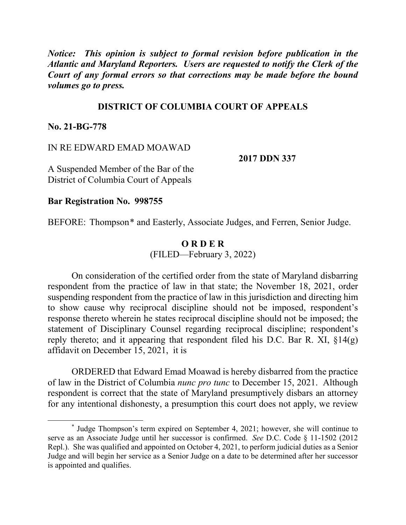*Notice: This opinion is subject to formal revision before publication in the Atlantic and Maryland Reporters. Users are requested to notify the Clerk of the Court of any formal errors so that corrections may be made before the bound volumes go to press.*

## **DISTRICT OF COLUMBIA COURT OF APPEALS**

**No. 21-BG-778**

### IN RE EDWARD EMAD MOAWAD

**2017 DDN 337**

A Suspended Member of the Bar of the District of Columbia Court of Appeals

**Bar Registration No. 998755** 

BEFORE: Thompson<sup>\*</sup> and Easterly, Associate Judges, and Ferren, Senior Judge.

## **O R D E R** (FILED—February 3, 2022)

On consideration of the certified order from the state of Maryland disbarring respondent from the practice of law in that state; the November 18, 2021, order suspending respondent from the practice of law in this jurisdiction and directing him to show cause why reciprocal discipline should not be imposed, respondent's response thereto wherein he states reciprocal discipline should not be imposed; the statement of Disciplinary Counsel regarding reciprocal discipline; respondent's reply thereto; and it appearing that respondent filed his D.C. Bar R. XI,  $\S 14(g)$ affidavit on December 15, 2021, it is

ORDERED that Edward Emad Moawad is hereby disbarred from the practice of law in the District of Columbia *nunc pro tunc* to December 15, 2021. Although respondent is correct that the state of Maryland presumptively disbars an attorney for any intentional dishonesty, a presumption this court does not apply, we review

<sup>\*</sup> Judge Thompson's term expired on September 4, 2021; however, she will continue to serve as an Associate Judge until her successor is confirmed. *See* D.C. Code § 11-1502 (2012 Repl.). She was qualified and appointed on October 4, 2021, to perform judicial duties as a Senior Judge and will begin her service as a Senior Judge on a date to be determined after her successor is appointed and qualifies.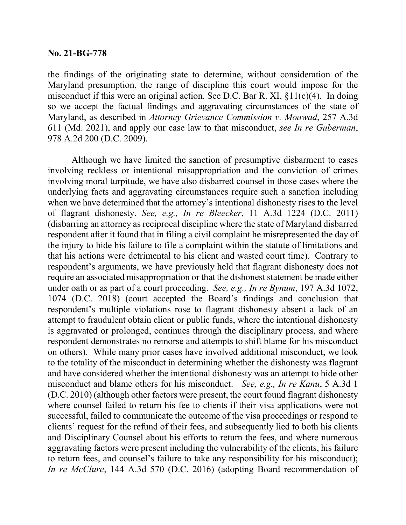#### **No. 21-BG-778**

the findings of the originating state to determine, without consideration of the Maryland presumption, the range of discipline this court would impose for the misconduct if this were an original action. See D.C. Bar R. XI, §11(c)(4). In doing so we accept the factual findings and aggravating circumstances of the state of Maryland, as described in *Attorney Grievance Commission v. Moawad*, 257 A.3d 611 (Md. 2021), and apply our case law to that misconduct, *see In re Guberman*, 978 A.2d 200 (D.C. 2009).

Although we have limited the sanction of presumptive disbarment to cases involving reckless or intentional misappropriation and the conviction of crimes involving moral turpitude, we have also disbarred counsel in those cases where the underlying facts and aggravating circumstances require such a sanction including when we have determined that the attorney's intentional dishonesty rises to the level of flagrant dishonesty. *See, e.g., In re Bleecker*, 11 A.3d 1224 (D.C. 2011) (disbarring an attorney as reciprocal discipline where the state of Maryland disbarred respondent after it found that in filing a civil complaint he misrepresented the day of the injury to hide his failure to file a complaint within the statute of limitations and that his actions were detrimental to his client and wasted court time). Contrary to respondent's arguments, we have previously held that flagrant dishonesty does not require an associated misappropriation or that the dishonest statement be made either under oath or as part of a court proceeding. *See, e.g., In re Bynum*, 197 A.3d 1072, 1074 (D.C. 2018) (court accepted the Board's findings and conclusion that respondent's multiple violations rose to flagrant dishonesty absent a lack of an attempt to fraudulent obtain client or public funds, where the intentional dishonesty is aggravated or prolonged, continues through the disciplinary process, and where respondent demonstrates no remorse and attempts to shift blame for his misconduct on others). While many prior cases have involved additional misconduct, we look to the totality of the misconduct in determining whether the dishonesty was flagrant and have considered whether the intentional dishonesty was an attempt to hide other misconduct and blame others for his misconduct. *See, e.g., In re Kanu*, 5 A.3d 1 (D.C. 2010) (although other factors were present, the court found flagrant dishonesty where counsel failed to return his fee to clients if their visa applications were not successful, failed to communicate the outcome of the visa proceedings or respond to clients' request for the refund of their fees, and subsequently lied to both his clients and Disciplinary Counsel about his efforts to return the fees, and where numerous aggravating factors were present including the vulnerability of the clients, his failure to return fees, and counsel's failure to take any responsibility for his misconduct); *In re McClure*, 144 A.3d 570 (D.C. 2016) (adopting Board recommendation of